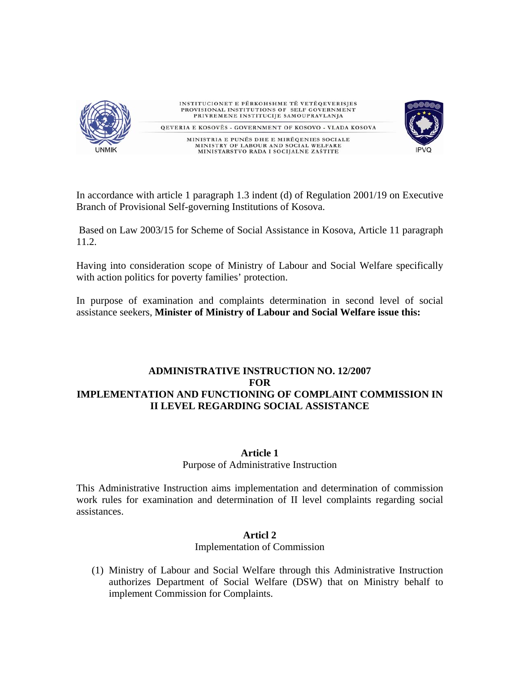

In accordance with article 1 paragraph 1.3 indent (d) of Regulation 2001/19 on Executive Branch of Provisional Self-governing Institutions of Kosova.

Based on Law 2003/15 for Scheme of Social Assistance in Kosova, Article 11 paragraph 11.2.

Having into consideration scope of Ministry of Labour and Social Welfare specifically with action politics for poverty families' protection.

In purpose of examination and complaints determination in second level of social assistance seekers, **Minister of Ministry of Labour and Social Welfare issue this:** 

# **ADMINISTRATIVE INSTRUCTION NO. 12/2007 FOR IMPLEMENTATION AND FUNCTIONING OF COMPLAINT COMMISSION IN II LEVEL REGARDING SOCIAL ASSISTANCE**

# **Article 1**

# Purpose of Administrative Instruction

This Administrative Instruction aims implementation and determination of commission work rules for examination and determination of II level complaints regarding social assistances.

# **Articl 2**

# Implementation of Commission

(1) Ministry of Labour and Social Welfare through this Administrative Instruction authorizes Department of Social Welfare (DSW) that on Ministry behalf to implement Commission for Complaints.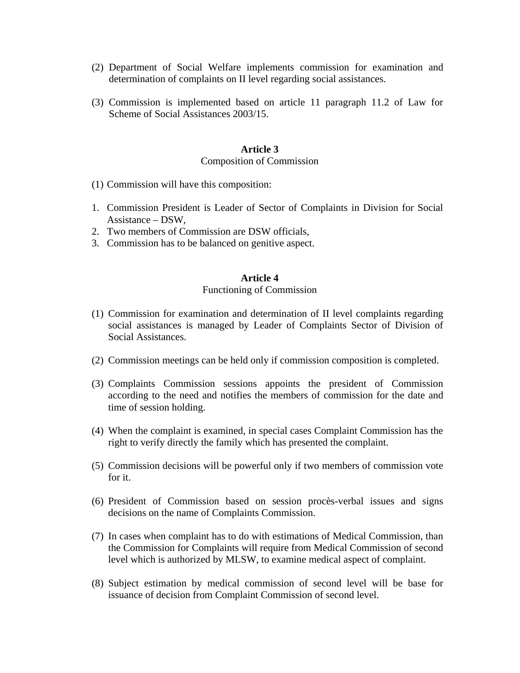- (2) Department of Social Welfare implements commission for examination and determination of complaints on II level regarding social assistances.
- (3) Commission is implemented based on article 11 paragraph 11.2 of Law for Scheme of Social Assistances 2003/15.

#### **Article 3**

#### Composition of Commission

- (1) Commission will have this composition:
- 1. Commission President is Leader of Sector of Complaints in Division for Social Assistance – DSW,
- 2. Two members of Commission are DSW officials,
- 3. Commission has to be balanced on genitive aspect.

#### **Article 4**

#### Functioning of Commission

- (1) Commission for examination and determination of II level complaints regarding social assistances is managed by Leader of Complaints Sector of Division of Social Assistances.
- (2) Commission meetings can be held only if commission composition is completed.
- (3) Complaints Commission sessions appoints the president of Commission according to the need and notifies the members of commission for the date and time of session holding.
- (4) When the complaint is examined, in special cases Complaint Commission has the right to verify directly the family which has presented the complaint.
- (5) Commission decisions will be powerful only if two members of commission vote for it.
- (6) President of Commission based on session procès-verbal issues and signs decisions on the name of Complaints Commission.
- (7) In cases when complaint has to do with estimations of Medical Commission, than the Commission for Complaints will require from Medical Commission of second level which is authorized by MLSW, to examine medical aspect of complaint.
- (8) Subject estimation by medical commission of second level will be base for issuance of decision from Complaint Commission of second level.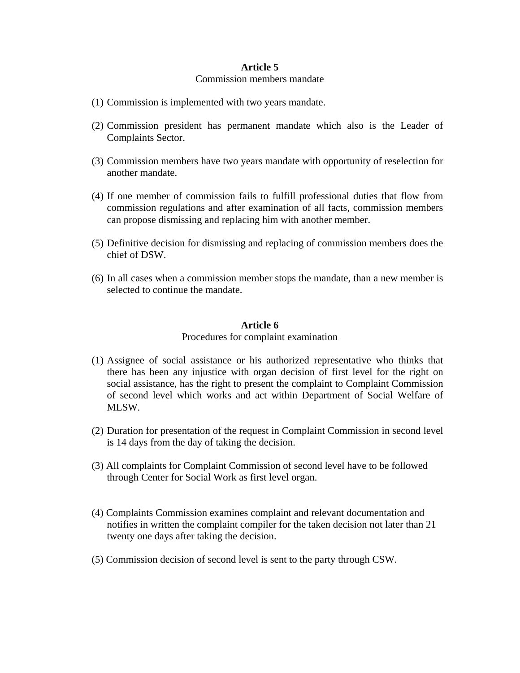#### **Article 5**

#### Commission members mandate

- (1) Commission is implemented with two years mandate.
- (2) Commission president has permanent mandate which also is the Leader of Complaints Sector.
- (3) Commission members have two years mandate with opportunity of reselection for another mandate.
- (4) If one member of commission fails to fulfill professional duties that flow from commission regulations and after examination of all facts, commission members can propose dismissing and replacing him with another member.
- (5) Definitive decision for dismissing and replacing of commission members does the chief of DSW.
- (6) In all cases when a commission member stops the mandate, than a new member is selected to continue the mandate.

#### **Article 6**

#### Procedures for complaint examination

- (1) Assignee of social assistance or his authorized representative who thinks that there has been any injustice with organ decision of first level for the right on social assistance, has the right to present the complaint to Complaint Commission of second level which works and act within Department of Social Welfare of MLSW.
- (2) Duration for presentation of the request in Complaint Commission in second level is 14 days from the day of taking the decision.
- (3) All complaints for Complaint Commission of second level have to be followed through Center for Social Work as first level organ.
- (4) Complaints Commission examines complaint and relevant documentation and notifies in written the complaint compiler for the taken decision not later than 21 twenty one days after taking the decision.
- (5) Commission decision of second level is sent to the party through CSW.